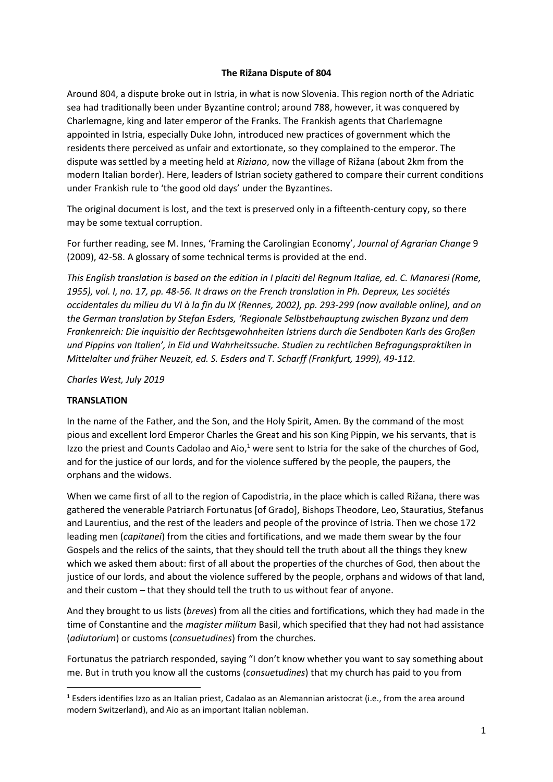## **The Rižana Dispute of 804**

Around 804, a dispute broke out in Istria, in what is now Slovenia. This region north of the Adriatic sea had traditionally been under Byzantine control; around 788, however, it was conquered by Charlemagne, king and later emperor of the Franks. The Frankish agents that Charlemagne appointed in Istria, especially Duke John, introduced new practices of government which the residents there perceived as unfair and extortionate, so they complained to the emperor. The dispute was settled by a meeting held at *Riziano*, now the village of Rižana (about 2km from the modern Italian border). Here, leaders of Istrian society gathered to compare their current conditions under Frankish rule to 'the good old days' under the Byzantines.

The original document is lost, and the text is preserved only in a fifteenth-century copy, so there may be some textual corruption.

For further reading, see M. Innes, 'Framing the Carolingian Economy', *Journal of Agrarian Change* 9 (2009), 42-58. A glossary of some technical terms is provided at the end.

*This English translation is based on the edition in I placiti del Regnum Italiae, ed. C. Manaresi (Rome, 1955), vol. I, no. 17, pp. 48-56. It draws on the French translation in Ph. Depreux, Les sociétés occidentales du milieu du VI à la fin du IX (Rennes, 2002), pp. 293-299 (now available online), and on the German translation by Stefan Esders, 'Regionale Selbstbehauptung zwischen Byzanz und dem Frankenreich: Die inquisitio der Rechtsgewohnheiten Istriens durch die Sendboten Karls des Großen und Pippins von Italien', in Eid und Wahrheitssuche. Studien zu rechtlichen Befragungspraktiken in Mittelalter und früher Neuzeit, ed. S. Esders and T. Scharff (Frankfurt, 1999), 49-112.* 

*Charles West, July 2019*

## **TRANSLATION**

In the name of the Father, and the Son, and the Holy Spirit, Amen. By the command of the most pious and excellent lord Emperor Charles the Great and his son King Pippin, we his servants, that is Izzo the priest and Counts Cadolao and Aio, $1$  were sent to Istria for the sake of the churches of God, and for the justice of our lords, and for the violence suffered by the people, the paupers, the orphans and the widows.

When we came first of all to the region of Capodistria, in the place which is called Rižana, there was gathered the venerable Patriarch Fortunatus [of Grado], Bishops Theodore, Leo, Stauratius, Stefanus and Laurentius, and the rest of the leaders and people of the province of Istria. Then we chose 172 leading men (*capitanei*) from the cities and fortifications, and we made them swear by the four Gospels and the relics of the saints, that they should tell the truth about all the things they knew which we asked them about: first of all about the properties of the churches of God, then about the justice of our lords, and about the violence suffered by the people, orphans and widows of that land, and their custom – that they should tell the truth to us without fear of anyone.

And they brought to us lists (*breves*) from all the cities and fortifications, which they had made in the time of Constantine and the *magister militum* Basil, which specified that they had not had assistance (*adiutorium*) or customs (*consuetudines*) from the churches.

Fortunatus the patriarch responded, saying "I don't know whether you want to say something about me. But in truth you know all the customs (*consuetudines*) that my church has paid to you from

 $1$  Esders identifies Izzo as an Italian priest, Cadalao as an Alemannian aristocrat (i.e., from the area around modern Switzerland), and Aio as an important Italian nobleman.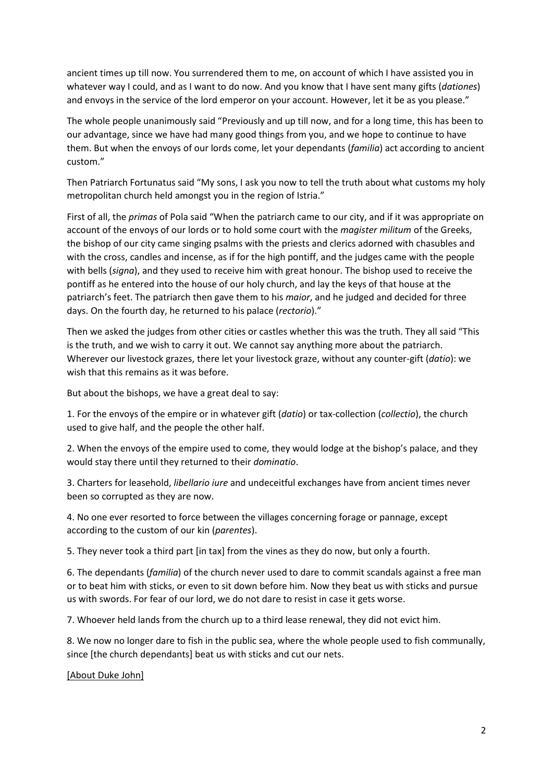ancient times up till now. You surrendered them to me, on account of which I have assisted you in whatever way I could, and as I want to do now. And you know that I have sent many gifts (*dationes*) and envoys in the service of the lord emperor on your account. However, let it be as you please."

The whole people unanimously said "Previously and up till now, and for a long time, this has been to our advantage, since we have had many good things from you, and we hope to continue to have them. But when the envoys of our lords come, let your dependants (*familia*) act according to ancient custom."

Then Patriarch Fortunatus said "My sons, I ask you now to tell the truth about what customs my holy metropolitan church held amongst you in the region of Istria."

First of all, the *primas* of Pola said "When the patriarch came to our city, and if it was appropriate on account of the envoys of our lords or to hold some court with the *magister militum* of the Greeks, the bishop of our city came singing psalms with the priests and clerics adorned with chasubles and with the cross, candles and incense, as if for the high pontiff, and the judges came with the people with bells (*signa*), and they used to receive him with great honour. The bishop used to receive the pontiff as he entered into the house of our holy church, and lay the keys of that house at the patriarch's feet. The patriarch then gave them to his *maior*, and he judged and decided for three days. On the fourth day, he returned to his palace (*rectorio*)."

Then we asked the judges from other cities or castles whether this was the truth. They all said "This is the truth, and we wish to carry it out. We cannot say anything more about the patriarch. Wherever our livestock grazes, there let your livestock graze, without any counter-gift (*datio*): we wish that this remains as it was before.

But about the bishops, we have a great deal to say:

1. For the envoys of the empire or in whatever gift (*datio*) or tax-collection (*collectio*), the church used to give half, and the people the other half.

2. When the envoys of the empire used to come, they would lodge at the bishop's palace, and they would stay there until they returned to their *dominatio*.

3. Charters for leasehold, *libellario iure* and undeceitful exchanges have from ancient times never been so corrupted as they are now.

4. No one ever resorted to force between the villages concerning forage or pannage, except according to the custom of our kin (*parentes*).

5. They never took a third part [in tax] from the vines as they do now, but only a fourth.

6. The dependants (*familia*) of the church never used to dare to commit scandals against a free man or to beat him with sticks, or even to sit down before him. Now they beat us with sticks and pursue us with swords. For fear of our lord, we do not dare to resist in case it gets worse.

7. Whoever held lands from the church up to a third lease renewal, they did not evict him.

8. We now no longer dare to fish in the public sea, where the whole people used to fish communally, since [the church dependants] beat us with sticks and cut our nets.

[About Duke John]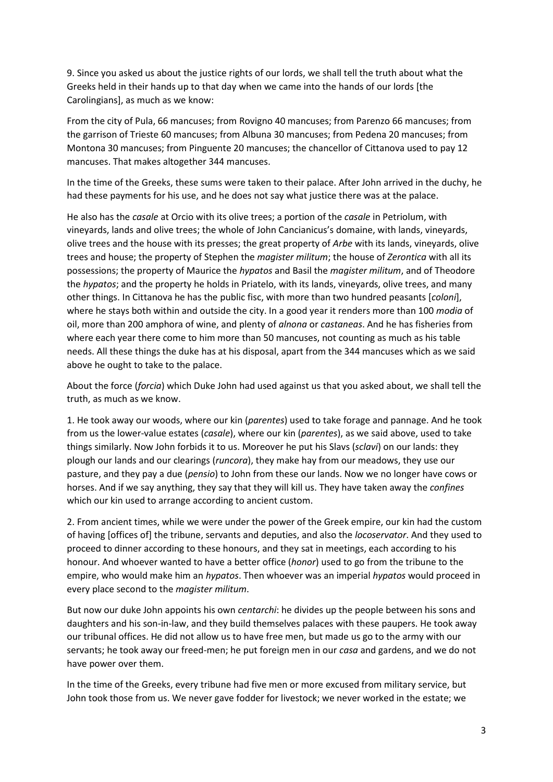9. Since you asked us about the justice rights of our lords, we shall tell the truth about what the Greeks held in their hands up to that day when we came into the hands of our lords [the Carolingians], as much as we know:

From the city of Pula, 66 mancuses; from Rovigno 40 mancuses; from Parenzo 66 mancuses; from the garrison of Trieste 60 mancuses; from Albuna 30 mancuses; from Pedena 20 mancuses; from Montona 30 mancuses; from Pinguente 20 mancuses; the chancellor of Cittanova used to pay 12 mancuses. That makes altogether 344 mancuses.

In the time of the Greeks, these sums were taken to their palace. After John arrived in the duchy, he had these payments for his use, and he does not say what justice there was at the palace.

He also has the *casale* at Orcio with its olive trees; a portion of the *casale* in Petriolum, with vineyards, lands and olive trees; the whole of John Cancianicus's domaine, with lands, vineyards, olive trees and the house with its presses; the great property of *Arbe* with its lands, vineyards, olive trees and house; the property of Stephen the *magister militum*; the house of *Zerontica* with all its possessions; the property of Maurice the *hypatos* and Basil the *magister militum*, and of Theodore the *hypatos*; and the property he holds in Priatelo, with its lands, vineyards, olive trees, and many other things. In Cittanova he has the public fisc, with more than two hundred peasants [*coloni*], where he stays both within and outside the city. In a good year it renders more than 100 *modia* of oil, more than 200 amphora of wine, and plenty of *alnona* or *castaneas*. And he has fisheries from where each year there come to him more than 50 mancuses, not counting as much as his table needs. All these things the duke has at his disposal, apart from the 344 mancuses which as we said above he ought to take to the palace.

About the force (*forcia*) which Duke John had used against us that you asked about, we shall tell the truth, as much as we know.

1. He took away our woods, where our kin (*parentes*) used to take forage and pannage. And he took from us the lower-value estates (*casale*), where our kin (*parentes*), as we said above, used to take things similarly. Now John forbids it to us. Moreover he put his Slavs (*sclavi*) on our lands: they plough our lands and our clearings (*runcora*), they make hay from our meadows, they use our pasture, and they pay a due (*pensio*) to John from these our lands. Now we no longer have cows or horses. And if we say anything, they say that they will kill us. They have taken away the *confines* which our kin used to arrange according to ancient custom.

2. From ancient times, while we were under the power of the Greek empire, our kin had the custom of having [offices of] the tribune, servants and deputies, and also the *locoservator*. And they used to proceed to dinner according to these honours, and they sat in meetings, each according to his honour. And whoever wanted to have a better office (*honor*) used to go from the tribune to the empire, who would make him an *hypatos*. Then whoever was an imperial *hypatos* would proceed in every place second to the *magister militum*.

But now our duke John appoints his own *centarchi*: he divides up the people between his sons and daughters and his son-in-law, and they build themselves palaces with these paupers. He took away our tribunal offices. He did not allow us to have free men, but made us go to the army with our servants; he took away our freed-men; he put foreign men in our *casa* and gardens, and we do not have power over them.

In the time of the Greeks, every tribune had five men or more excused from military service, but John took those from us. We never gave fodder for livestock; we never worked in the estate; we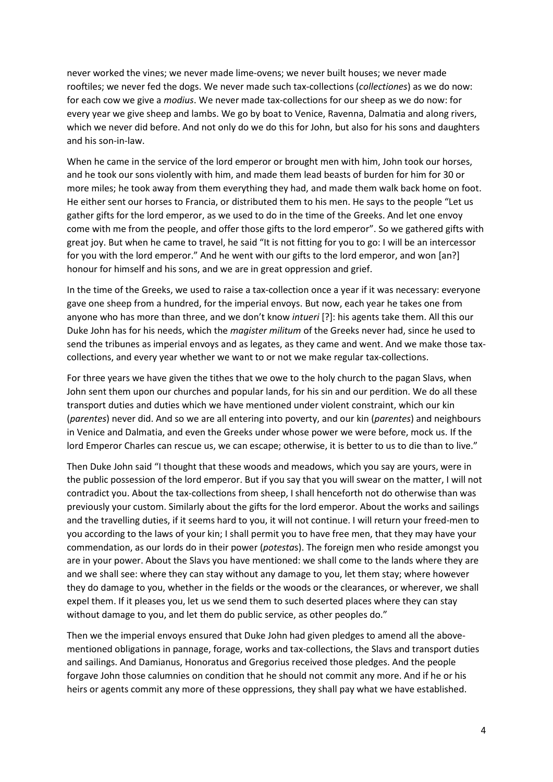never worked the vines; we never made lime-ovens; we never built houses; we never made rooftiles; we never fed the dogs. We never made such tax-collections (*collectiones*) as we do now: for each cow we give a *modius*. We never made tax-collections for our sheep as we do now: for every year we give sheep and lambs. We go by boat to Venice, Ravenna, Dalmatia and along rivers, which we never did before. And not only do we do this for John, but also for his sons and daughters and his son-in-law.

When he came in the service of the lord emperor or brought men with him, John took our horses, and he took our sons violently with him, and made them lead beasts of burden for him for 30 or more miles; he took away from them everything they had, and made them walk back home on foot. He either sent our horses to Francia, or distributed them to his men. He says to the people "Let us gather gifts for the lord emperor, as we used to do in the time of the Greeks. And let one envoy come with me from the people, and offer those gifts to the lord emperor". So we gathered gifts with great joy. But when he came to travel, he said "It is not fitting for you to go: I will be an intercessor for you with the lord emperor." And he went with our gifts to the lord emperor, and won [an?] honour for himself and his sons, and we are in great oppression and grief.

In the time of the Greeks, we used to raise a tax-collection once a year if it was necessary: everyone gave one sheep from a hundred, for the imperial envoys. But now, each year he takes one from anyone who has more than three, and we don't know *intueri* [?]: his agents take them. All this our Duke John has for his needs, which the *magister militum* of the Greeks never had, since he used to send the tribunes as imperial envoys and as legates, as they came and went. And we make those taxcollections, and every year whether we want to or not we make regular tax-collections.

For three years we have given the tithes that we owe to the holy church to the pagan Slavs, when John sent them upon our churches and popular lands, for his sin and our perdition. We do all these transport duties and duties which we have mentioned under violent constraint, which our kin (*parentes*) never did. And so we are all entering into poverty, and our kin (*parentes*) and neighbours in Venice and Dalmatia, and even the Greeks under whose power we were before, mock us. If the lord Emperor Charles can rescue us, we can escape; otherwise, it is better to us to die than to live."

Then Duke John said "I thought that these woods and meadows, which you say are yours, were in the public possession of the lord emperor. But if you say that you will swear on the matter, I will not contradict you. About the tax-collections from sheep, I shall henceforth not do otherwise than was previously your custom. Similarly about the gifts for the lord emperor. About the works and sailings and the travelling duties, if it seems hard to you, it will not continue. I will return your freed-men to you according to the laws of your kin; I shall permit you to have free men, that they may have your commendation, as our lords do in their power (*potesta*s). The foreign men who reside amongst you are in your power. About the Slavs you have mentioned: we shall come to the lands where they are and we shall see: where they can stay without any damage to you, let them stay; where however they do damage to you, whether in the fields or the woods or the clearances, or wherever, we shall expel them. If it pleases you, let us we send them to such deserted places where they can stay without damage to you, and let them do public service, as other peoples do."

Then we the imperial envoys ensured that Duke John had given pledges to amend all the abovementioned obligations in pannage, forage, works and tax-collections, the Slavs and transport duties and sailings. And Damianus, Honoratus and Gregorius received those pledges. And the people forgave John those calumnies on condition that he should not commit any more. And if he or his heirs or agents commit any more of these oppressions, they shall pay what we have established.